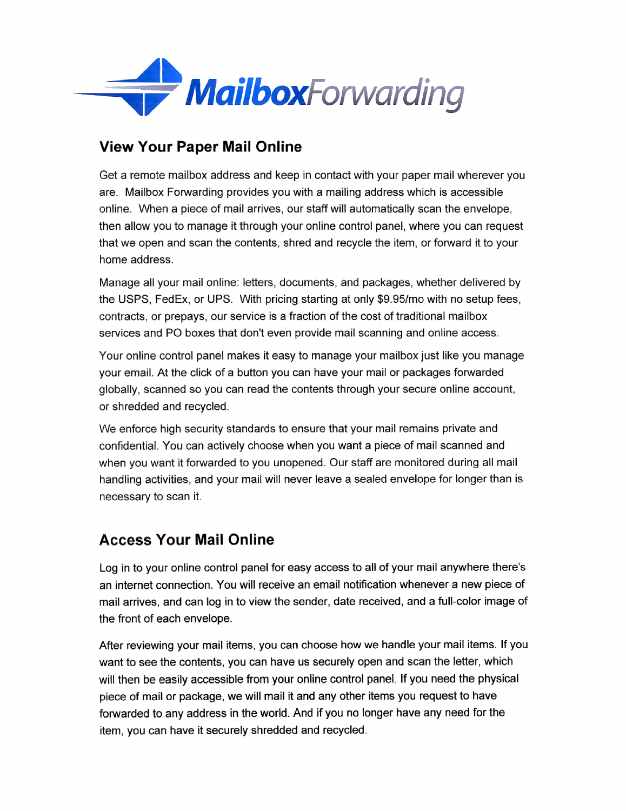

### **View Your Paper Mail Online**

Get a remote mailbox address and keep in contact with your paper mail wherever you are. Mailbox Forwarding provides you with a mailing address which is accessible online. When a piece of mail arrives, our staff will automatically scan the envelope, then allow you to manage it through your online control panel, where you can request that we open and scan the contents, shred and recycle the item, or forward it to your home address.

Manage all your mail online: letters, documents, and packages, whether delivered by the USPS, FedEx, or UPS. With pricing starting at only \$9.95/mo with no setup fees, contracts, or prepays, our service is a fraction of the cost of traditional mailbox services and PO boxes that don't even provide mail scanning and online access.

Your online control panel makes it easy to manage your mailbox just like you manage your email. At the click of a button you can have your mail or packages forwarded globally, scanned so you can read the contents through your secure online account, or shredded and recycled.

We enforce high security standards to ensure that your mail remains private and confidential. You can actively choose when you want a piece of mail scanned and when you want it forwarded to you unopened. Our staff are monitored during all mail handling activities, and your mail will never leave a sealed envelope for longer than is necessary to scan it.

# **Access Your Mail Online**

Log in to your online control panel for easy access to all of your mail anywhere there's an internet connection. You will receive an email notification whenever a new piece of mail arrives, and can log in to view the sender, date received, and a full-color image of the front of each envelope.

After reviewing your mail items, you can choose how we handle your mail items. If you want to see the contents, you can have us securely open and scan the letter, which will then be easily accessible from your online control panel. If you need the physical piece of mail or package, we will mail it and any other items you request to have forwarded to any address in the world. And if you no longer have any need for the item, you can have it securely shredded and recycled.